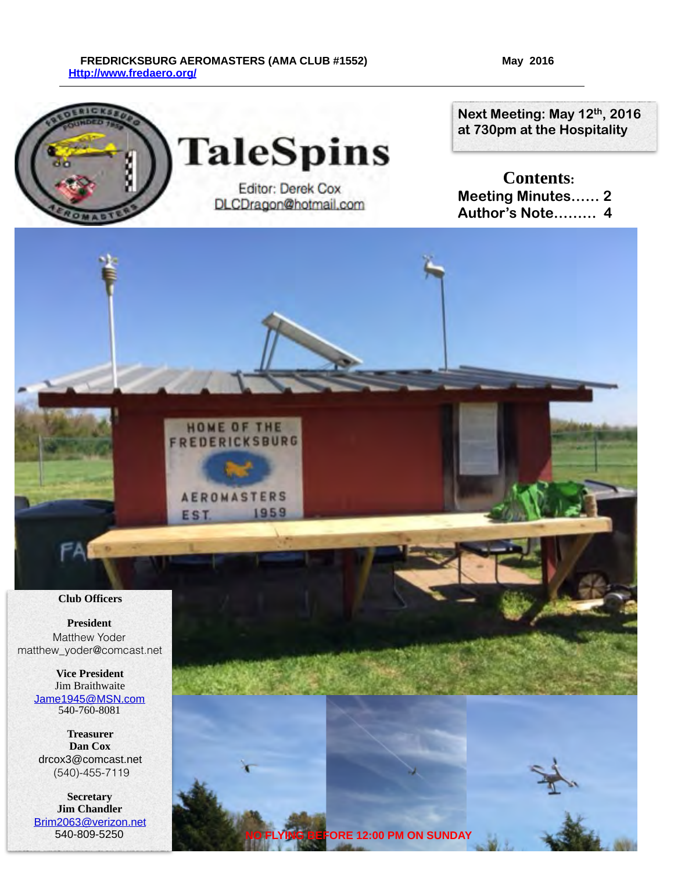#### FREDRICKSBURG AEROMASTERS (AMA CLUB #1552) May 2016  **[Http://www.fredaero.org/](http://www.fredaero.org/)**

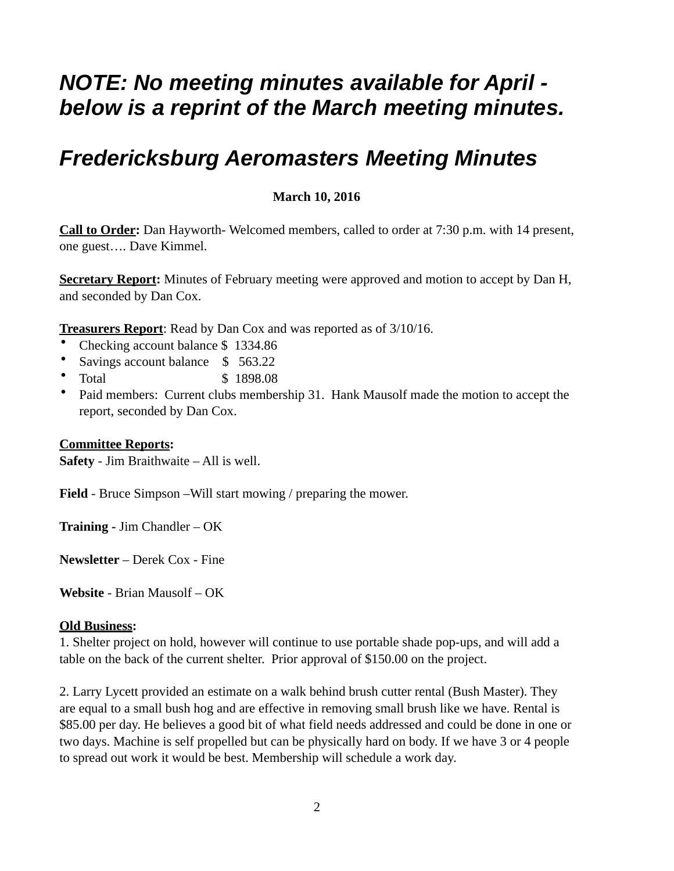# *NOTE: No meeting minutes available for April below is a reprint of the March meeting minutes.*

# *Fredericksburg Aeromasters Meeting Minutes*

# **March 10, 2016**

**Call to Order:** Dan Hayworth- Welcomed members, called to order at 7:30 p.m. with 14 present, one guest…. Dave Kimmel.

**Secretary Report:** Minutes of February meeting were approved and motion to accept by Dan H, and seconded by Dan Cox.

**Treasurers Report**: Read by Dan Cox and was reported as of 3/10/16.

- Checking account balance \$1334.86
- Savings account balance \$ 563.22
- Total \$ 1898.08
- Paid members: Current clubs membership 31. Hank Mausolf made the motion to accept the report, seconded by Dan Cox.

### **Committee Reports:**

**Safety** - Jim Braithwaite – All is well.

**Field** - Bruce Simpson –Will start mowing / preparing the mower.

**Training -** Jim Chandler – OK

**Newsletter** – Derek Cox - Fine

**Website** - Brian Mausolf – OK

### **Old Business:**

1. Shelter project on hold, however will continue to use portable shade pop-ups, and will add a table on the back of the current shelter. Prior approval of \$150.00 on the project.

2. Larry Lycett provided an estimate on a walk behind brush cutter rental (Bush Master). They are equal to a small bush hog and are effective in removing small brush like we have. Rental is \$85.00 per day. He believes a good bit of what field needs addressed and could be done in one or two days. Machine is self propelled but can be physically hard on body. If we have 3 or 4 people to spread out work it would be best. Membership will schedule a work day.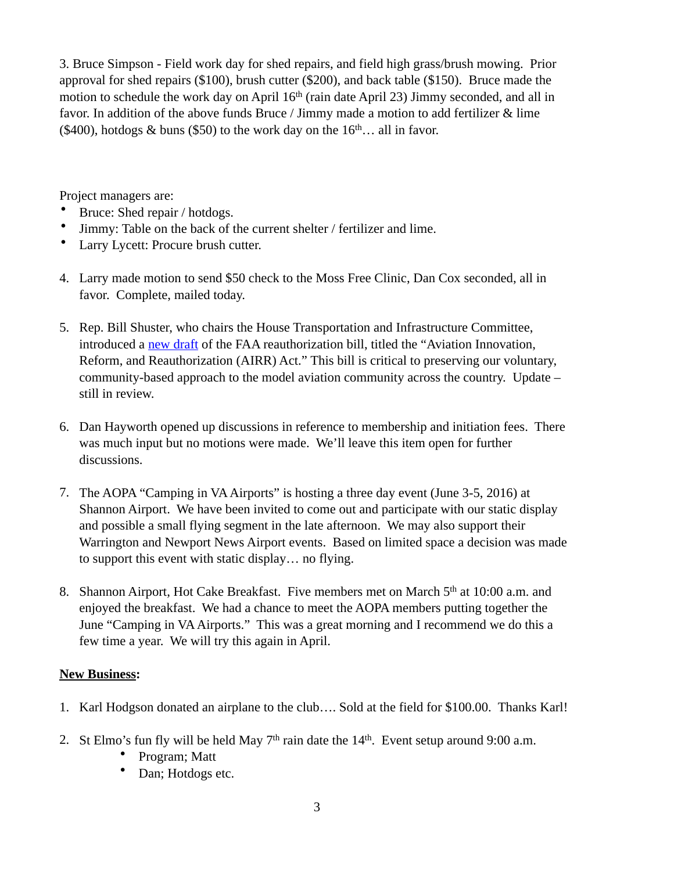3. Bruce Simpson - Field work day for shed repairs, and field high grass/brush mowing. Prior approval for shed repairs (\$100), brush cutter (\$200), and back table (\$150). Bruce made the motion to schedule the work day on April 16<sup>th</sup> (rain date April 23) Jimmy seconded, and all in favor. In addition of the above funds Bruce / Jimmy made a motion to add fertilizer & lime (\$400), hotdogs  $\&$  buns (\$50) to the work day on the  $16<sup>th</sup>...$  all in favor.

Project managers are:

- Bruce: Shed repair / hotdogs.
- Jimmy: Table on the back of the current shelter / fertilizer and lime.
- Larry Lycett: Procure brush cutter.
- 4. Larry made motion to send \$50 check to the Moss Free Clinic, Dan Cox seconded, all in favor. Complete, mailed today.
- 5. Rep. Bill Shuster, who chairs the House Transportation and Infrastructure Committee, introduced a [new draft](http://cl.exct.net/?qs=83fd2ba37621bcd2f4adefe59af86560a0538ed4c877b21e903cb4626602f0b8) of the FAA reauthorization bill, titled the "Aviation Innovation, Reform, and Reauthorization (AIRR) Act." This bill is critical to preserving our voluntary, community-based approach to the model aviation community across the country. Update – still in review.
- 6. Dan Hayworth opened up discussions in reference to membership and initiation fees. There was much input but no motions were made. We'll leave this item open for further discussions.
- 7. The AOPA "Camping in VA Airports" is hosting a three day event (June 3-5, 2016) at Shannon Airport. We have been invited to come out and participate with our static display and possible a small flying segment in the late afternoon. We may also support their Warrington and Newport News Airport events. Based on limited space a decision was made to support this event with static display… no flying.
- 8. Shannon Airport, Hot Cake Breakfast. Five members met on March 5<sup>th</sup> at 10:00 a.m. and enjoyed the breakfast. We had a chance to meet the AOPA members putting together the June "Camping in VA Airports." This was a great morning and I recommend we do this a few time a year. We will try this again in April.

## **New Business:**

- 1. Karl Hodgson donated an airplane to the club…. Sold at the field for \$100.00. Thanks Karl!
- 2. St Elmo's fun fly will be held May  $7<sup>th</sup>$  rain date the  $14<sup>th</sup>$ . Event setup around 9:00 a.m.
	- Program; Matt
	- Dan; Hotdogs etc.